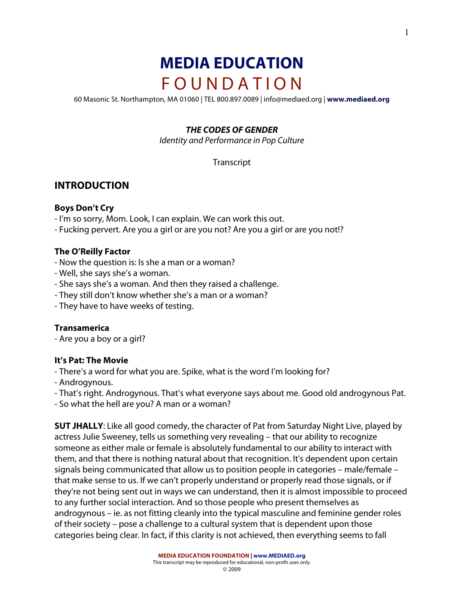# **MEDIA EDUCATION** F O U N D A T I O N

60 Masonic St. Northampton, MA 01060 | TEL 800.897.0089 | info@mediaed.org | **www.mediaed.org**

#### *THE CODES OF GENDER*

Identity and Performance in Pop Culture

Transcript

## **INTRODUCTION**

#### **Boys Don't Cry**

- I'm so sorry, Mom. Look, I can explain. We can work this out.
- Fucking pervert. Are you a girl or are you not? Are you a girl or are you not!?

#### **The O'Reilly Factor**

- Now the question is: Is she a man or a woman?
- Well, she says she's a woman.
- She says she's a woman. And then they raised a challenge.
- They still don't know whether she's a man or a woman?
- They have to have weeks of testing.

#### **Transamerica**

- Are you a boy or a girl?

#### **It's Pat: The Movie**

- There's a word for what you are. Spike, what is the word I'm looking for?
- Androgynous.
- That's right. Androgynous. That's what everyone says about me. Good old androgynous Pat.
- So what the hell are you? A man or a woman?

**SUT JHALLY**: Like all good comedy, the character of Pat from Saturday Night Live, played by actress Julie Sweeney, tells us something very revealing – that our ability to recognize someone as either male or female is absolutely fundamental to our ability to interact with them, and that there is nothing natural about that recognition. It's dependent upon certain signals being communicated that allow us to position people in categories – male/female – that make sense to us. If we can't properly understand or properly read those signals, or if they're not being sent out in ways we can understand, then it is almost impossible to proceed to any further social interaction. And so those people who present themselves as androgynous – ie. as not fitting cleanly into the typical masculine and feminine gender roles of their society – pose a challenge to a cultural system that is dependent upon those categories being clear. In fact, if this clarity is not achieved, then everything seems to fall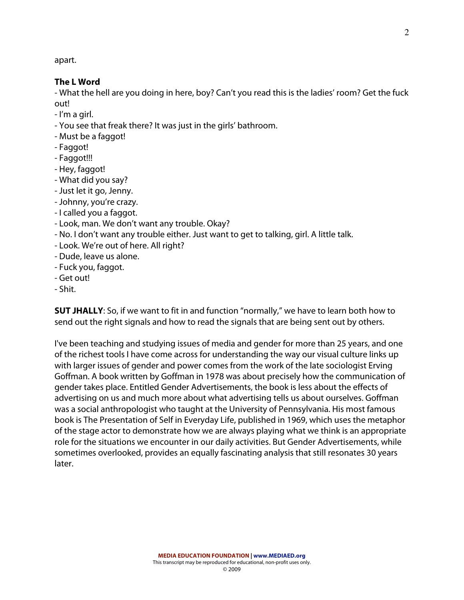apart.

#### **The L Word**

- What the hell are you doing in here, boy? Can't you read this is the ladies' room? Get the fuck out!

- I'm a girl.
- You see that freak there? It was just in the girls' bathroom.
- Must be a faggot!
- Faggot!
- Faggot!!!
- Hey, faggot!
- What did you say?
- Just let it go, Jenny.
- Johnny, you're crazy.
- I called you a faggot.
- Look, man. We don't want any trouble. Okay?
- No. I don't want any trouble either. Just want to get to talking, girl. A little talk.
- Look. We're out of here. All right?
- Dude, leave us alone.
- Fuck you, faggot.
- Get out!
- Shit.

**SUT JHALLY**: So, if we want to fit in and function "normally," we have to learn both how to send out the right signals and how to read the signals that are being sent out by others.

I've been teaching and studying issues of media and gender for more than 25 years, and one of the richest tools I have come across for understanding the way our visual culture links up with larger issues of gender and power comes from the work of the late sociologist Erving Goffman. A book written by Goffman in 1978 was about precisely how the communication of gender takes place. Entitled Gender Advertisements, the book is less about the effects of advertising on us and much more about what advertising tells us about ourselves. Goffman was a social anthropologist who taught at the University of Pennsylvania. His most famous book is The Presentation of Self in Everyday Life, published in 1969, which uses the metaphor of the stage actor to demonstrate how we are always playing what we think is an appropriate role for the situations we encounter in our daily activities. But Gender Advertisements, while sometimes overlooked, provides an equally fascinating analysis that still resonates 30 years later.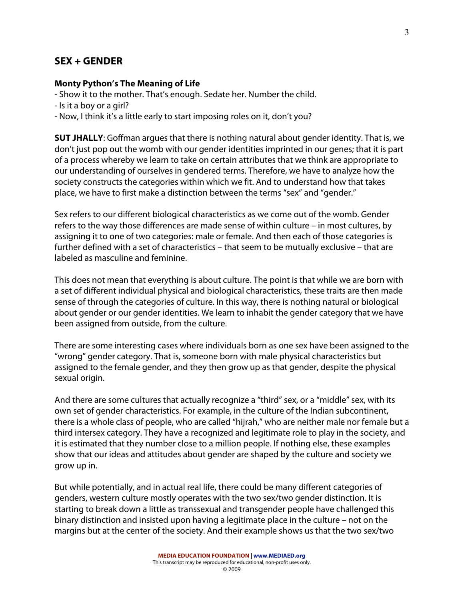## **SEX + GENDER**

#### **Monty Python's The Meaning of Life**

- Show it to the mother. That's enough. Sedate her. Number the child.

- Is it a boy or a girl?
- Now, I think it's a little early to start imposing roles on it, don't you?

**SUT JHALLY**: Goffman argues that there is nothing natural about gender identity. That is, we don't just pop out the womb with our gender identities imprinted in our genes; that it is part of a process whereby we learn to take on certain attributes that we think are appropriate to our understanding of ourselves in gendered terms. Therefore, we have to analyze how the society constructs the categories within which we fit. And to understand how that takes place, we have to first make a distinction between the terms "sex" and "gender."

Sex refers to our different biological characteristics as we come out of the womb. Gender refers to the way those differences are made sense of within culture – in most cultures, by assigning it to one of two categories: male or female. And then each of those categories is further defined with a set of characteristics – that seem to be mutually exclusive – that are labeled as masculine and feminine.

This does not mean that everything is about culture. The point is that while we are born with a set of different individual physical and biological characteristics, these traits are then made sense of through the categories of culture. In this way, there is nothing natural or biological about gender or our gender identities. We learn to inhabit the gender category that we have been assigned from outside, from the culture.

There are some interesting cases where individuals born as one sex have been assigned to the "wrong" gender category. That is, someone born with male physical characteristics but assigned to the female gender, and they then grow up as that gender, despite the physical sexual origin.

And there are some cultures that actually recognize a "third" sex, or a "middle" sex, with its own set of gender characteristics. For example, in the culture of the Indian subcontinent, there is a whole class of people, who are called "hijrah," who are neither male nor female but a third intersex category. They have a recognized and legitimate role to play in the society, and it is estimated that they number close to a million people. If nothing else, these examples show that our ideas and attitudes about gender are shaped by the culture and society we grow up in.

But while potentially, and in actual real life, there could be many different categories of genders, western culture mostly operates with the two sex/two gender distinction. It is starting to break down a little as transsexual and transgender people have challenged this binary distinction and insisted upon having a legitimate place in the culture – not on the margins but at the center of the society. And their example shows us that the two sex/two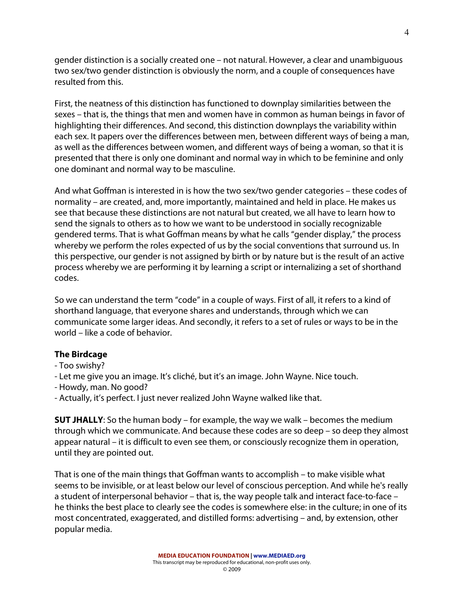gender distinction is a socially created one – not natural. However, a clear and unambiguous two sex/two gender distinction is obviously the norm, and a couple of consequences have resulted from this.

First, the neatness of this distinction has functioned to downplay similarities between the sexes – that is, the things that men and women have in common as human beings in favor of highlighting their differences. And second, this distinction downplays the variability within each sex. It papers over the differences between men, between different ways of being a man, as well as the differences between women, and different ways of being a woman, so that it is presented that there is only one dominant and normal way in which to be feminine and only one dominant and normal way to be masculine.

And what Goffman is interested in is how the two sex/two gender categories – these codes of normality – are created, and, more importantly, maintained and held in place. He makes us see that because these distinctions are not natural but created, we all have to learn how to send the signals to others as to how we want to be understood in socially recognizable gendered terms. That is what Goffman means by what he calls "gender display," the process whereby we perform the roles expected of us by the social conventions that surround us. In this perspective, our gender is not assigned by birth or by nature but is the result of an active process whereby we are performing it by learning a script or internalizing a set of shorthand codes.

So we can understand the term "code" in a couple of ways. First of all, it refers to a kind of shorthand language, that everyone shares and understands, through which we can communicate some larger ideas. And secondly, it refers to a set of rules or ways to be in the world – like a code of behavior.

## **The Birdcage**

- Too swishy?
- Let me give you an image. It's cliché, but it's an image. John Wayne. Nice touch.
- Howdy, man. No good?
- Actually, it's perfect. I just never realized John Wayne walked like that.

**SUT JHALLY**: So the human body – for example, the way we walk – becomes the medium through which we communicate. And because these codes are so deep – so deep they almost appear natural – it is difficult to even see them, or consciously recognize them in operation, until they are pointed out.

That is one of the main things that Goffman wants to accomplish – to make visible what seems to be invisible, or at least below our level of conscious perception. And while he's really a student of interpersonal behavior – that is, the way people talk and interact face-to-face – he thinks the best place to clearly see the codes is somewhere else: in the culture; in one of its most concentrated, exaggerated, and distilled forms: advertising – and, by extension, other popular media.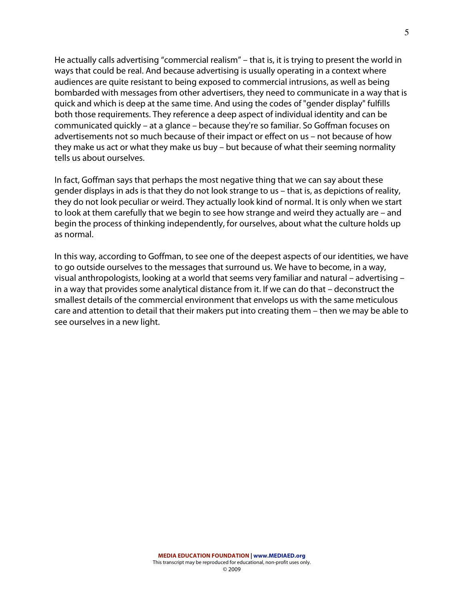He actually calls advertising "commercial realism" – that is, it is trying to present the world in ways that could be real. And because advertising is usually operating in a context where audiences are quite resistant to being exposed to commercial intrusions, as well as being bombarded with messages from other advertisers, they need to communicate in a way that is quick and which is deep at the same time. And using the codes of "gender display" fulfills both those requirements. They reference a deep aspect of individual identity and can be communicated quickly – at a glance – because they're so familiar. So Goffman focuses on advertisements not so much because of their impact or effect on us – not because of how they make us act or what they make us buy – but because of what their seeming normality tells us about ourselves.

In fact, Goffman says that perhaps the most negative thing that we can say about these gender displays in ads is that they do not look strange to us – that is, as depictions of reality, they do not look peculiar or weird. They actually look kind of normal. It is only when we start to look at them carefully that we begin to see how strange and weird they actually are – and begin the process of thinking independently, for ourselves, about what the culture holds up as normal.

In this way, according to Goffman, to see one of the deepest aspects of our identities, we have to go outside ourselves to the messages that surround us. We have to become, in a way, visual anthropologists, looking at a world that seems very familiar and natural – advertising – in a way that provides some analytical distance from it. If we can do that – deconstruct the smallest details of the commercial environment that envelops us with the same meticulous care and attention to detail that their makers put into creating them – then we may be able to see ourselves in a new light.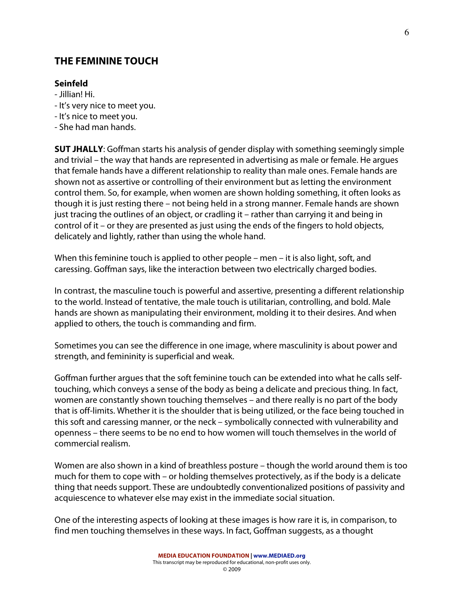## **THE FEMININE TOUCH**

#### **Seinfeld**

- Jillian! Hi.
- It's very nice to meet you.
- It's nice to meet you.
- She had man hands.

**SUT JHALLY**: Goffman starts his analysis of gender display with something seemingly simple and trivial – the way that hands are represented in advertising as male or female. He argues that female hands have a different relationship to reality than male ones. Female hands are shown not as assertive or controlling of their environment but as letting the environment control them. So, for example, when women are shown holding something, it often looks as though it is just resting there – not being held in a strong manner. Female hands are shown just tracing the outlines of an object, or cradling it – rather than carrying it and being in control of it – or they are presented as just using the ends of the fingers to hold objects, delicately and lightly, rather than using the whole hand.

When this feminine touch is applied to other people – men – it is also light, soft, and caressing. Goffman says, like the interaction between two electrically charged bodies.

In contrast, the masculine touch is powerful and assertive, presenting a different relationship to the world. Instead of tentative, the male touch is utilitarian, controlling, and bold. Male hands are shown as manipulating their environment, molding it to their desires. And when applied to others, the touch is commanding and firm.

Sometimes you can see the difference in one image, where masculinity is about power and strength, and femininity is superficial and weak.

Goffman further argues that the soft feminine touch can be extended into what he calls selftouching, which conveys a sense of the body as being a delicate and precious thing. In fact, women are constantly shown touching themselves – and there really is no part of the body that is off-limits. Whether it is the shoulder that is being utilized, or the face being touched in this soft and caressing manner, or the neck – symbolically connected with vulnerability and openness – there seems to be no end to how women will touch themselves in the world of commercial realism.

Women are also shown in a kind of breathless posture – though the world around them is too much for them to cope with – or holding themselves protectively, as if the body is a delicate thing that needs support. These are undoubtedly conventionalized positions of passivity and acquiescence to whatever else may exist in the immediate social situation.

One of the interesting aspects of looking at these images is how rare it is, in comparison, to find men touching themselves in these ways. In fact, Goffman suggests, as a thought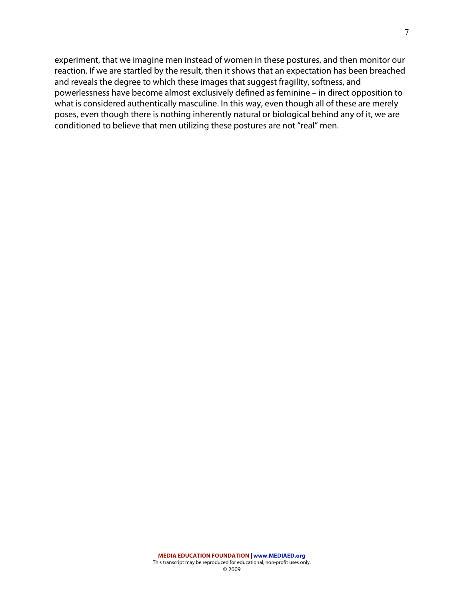experiment, that we imagine men instead of women in these postures, and then monitor our reaction. If we are startled by the result, then it shows that an expectation has been breached and reveals the degree to which these images that suggest fragility, softness, and powerlessness have become almost exclusively defined as feminine – in direct opposition to what is considered authentically masculine. In this way, even though all of these are merely poses, even though there is nothing inherently natural or biological behind any of it, we are conditioned to believe that men utilizing these postures are not "real" men.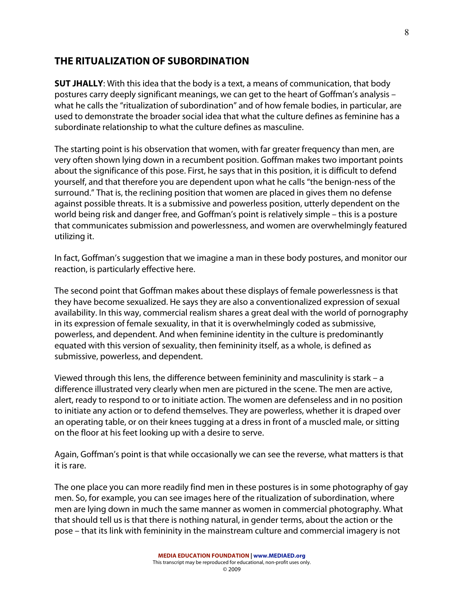## **THE RITUALIZATION OF SUBORDINATION**

**SUT JHALLY**: With this idea that the body is a text, a means of communication, that body postures carry deeply significant meanings, we can get to the heart of Goffman's analysis – what he calls the "ritualization of subordination" and of how female bodies, in particular, are used to demonstrate the broader social idea that what the culture defines as feminine has a subordinate relationship to what the culture defines as masculine.

The starting point is his observation that women, with far greater frequency than men, are very often shown lying down in a recumbent position. Goffman makes two important points about the significance of this pose. First, he says that in this position, it is difficult to defend yourself, and that therefore you are dependent upon what he calls "the benign-ness of the surround." That is, the reclining position that women are placed in gives them no defense against possible threats. It is a submissive and powerless position, utterly dependent on the world being risk and danger free, and Goffman's point is relatively simple – this is a posture that communicates submission and powerlessness, and women are overwhelmingly featured utilizing it.

In fact, Goffman's suggestion that we imagine a man in these body postures, and monitor our reaction, is particularly effective here.

The second point that Goffman makes about these displays of female powerlessness is that they have become sexualized. He says they are also a conventionalized expression of sexual availability. In this way, commercial realism shares a great deal with the world of pornography in its expression of female sexuality, in that it is overwhelmingly coded as submissive, powerless, and dependent. And when feminine identity in the culture is predominantly equated with this version of sexuality, then femininity itself, as a whole, is defined as submissive, powerless, and dependent.

Viewed through this lens, the difference between femininity and masculinity is stark – a difference illustrated very clearly when men are pictured in the scene. The men are active, alert, ready to respond to or to initiate action. The women are defenseless and in no position to initiate any action or to defend themselves. They are powerless, whether it is draped over an operating table, or on their knees tugging at a dress in front of a muscled male, or sitting on the floor at his feet looking up with a desire to serve.

Again, Goffman's point is that while occasionally we can see the reverse, what matters is that it is rare.

The one place you can more readily find men in these postures is in some photography of gay men. So, for example, you can see images here of the ritualization of subordination, where men are lying down in much the same manner as women in commercial photography. What that should tell us is that there is nothing natural, in gender terms, about the action or the pose – that its link with femininity in the mainstream culture and commercial imagery is not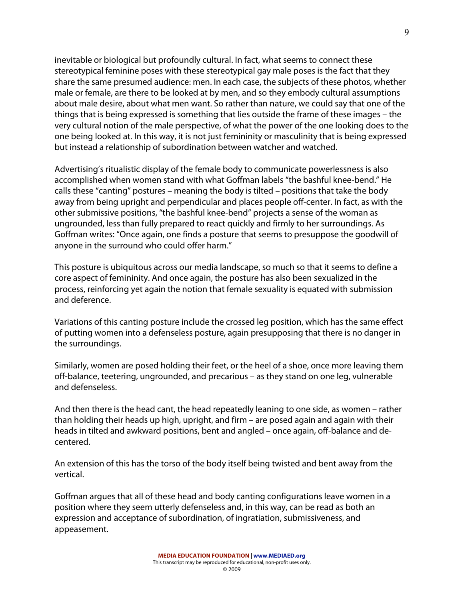inevitable or biological but profoundly cultural. In fact, what seems to connect these stereotypical feminine poses with these stereotypical gay male poses is the fact that they share the same presumed audience: men. In each case, the subjects of these photos, whether male or female, are there to be looked at by men, and so they embody cultural assumptions about male desire, about what men want. So rather than nature, we could say that one of the things that is being expressed is something that lies outside the frame of these images – the very cultural notion of the male perspective, of what the power of the one looking does to the one being looked at. In this way, it is not just femininity or masculinity that is being expressed but instead a relationship of subordination between watcher and watched.

Advertising's ritualistic display of the female body to communicate powerlessness is also accomplished when women stand with what Goffman labels "the bashful knee-bend." He calls these "canting" postures – meaning the body is tilted – positions that take the body away from being upright and perpendicular and places people off-center. In fact, as with the other submissive positions, "the bashful knee-bend" projects a sense of the woman as ungrounded, less than fully prepared to react quickly and firmly to her surroundings. As Goffman writes: "Once again, one finds a posture that seems to presuppose the goodwill of anyone in the surround who could offer harm."

This posture is ubiquitous across our media landscape, so much so that it seems to define a core aspect of femininity. And once again, the posture has also been sexualized in the process, reinforcing yet again the notion that female sexuality is equated with submission and deference.

Variations of this canting posture include the crossed leg position, which has the same effect of putting women into a defenseless posture, again presupposing that there is no danger in the surroundings.

Similarly, women are posed holding their feet, or the heel of a shoe, once more leaving them off-balance, teetering, ungrounded, and precarious – as they stand on one leg, vulnerable and defenseless.

And then there is the head cant, the head repeatedly leaning to one side, as women – rather than holding their heads up high, upright, and firm – are posed again and again with their heads in tilted and awkward positions, bent and angled – once again, off-balance and decentered.

An extension of this has the torso of the body itself being twisted and bent away from the vertical.

Goffman argues that all of these head and body canting configurations leave women in a position where they seem utterly defenseless and, in this way, can be read as both an expression and acceptance of subordination, of ingratiation, submissiveness, and appeasement.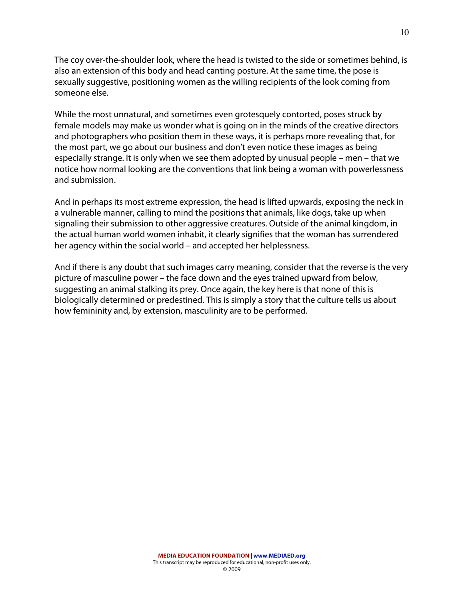The coy over-the-shoulder look, where the head is twisted to the side or sometimes behind, is also an extension of this body and head canting posture. At the same time, the pose is sexually suggestive, positioning women as the willing recipients of the look coming from someone else.

While the most unnatural, and sometimes even grotesquely contorted, poses struck by female models may make us wonder what is going on in the minds of the creative directors and photographers who position them in these ways, it is perhaps more revealing that, for the most part, we go about our business and don't even notice these images as being especially strange. It is only when we see them adopted by unusual people – men – that we notice how normal looking are the conventions that link being a woman with powerlessness and submission.

And in perhaps its most extreme expression, the head is lifted upwards, exposing the neck in a vulnerable manner, calling to mind the positions that animals, like dogs, take up when signaling their submission to other aggressive creatures. Outside of the animal kingdom, in the actual human world women inhabit, it clearly signifies that the woman has surrendered her agency within the social world – and accepted her helplessness.

And if there is any doubt that such images carry meaning, consider that the reverse is the very picture of masculine power – the face down and the eyes trained upward from below, suggesting an animal stalking its prey. Once again, the key here is that none of this is biologically determined or predestined. This is simply a story that the culture tells us about how femininity and, by extension, masculinity are to be performed.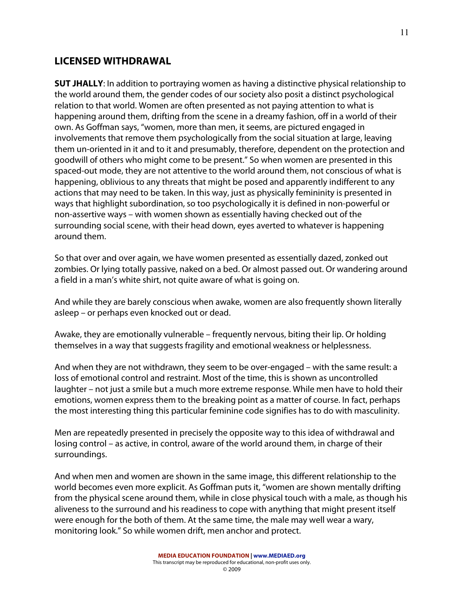# **LICENSED WITHDRAWAL**

**SUT JHALLY**: In addition to portraying women as having a distinctive physical relationship to the world around them, the gender codes of our society also posit a distinct psychological relation to that world. Women are often presented as not paying attention to what is happening around them, drifting from the scene in a dreamy fashion, off in a world of their own. As Goffman says, "women, more than men, it seems, are pictured engaged in involvements that remove them psychologically from the social situation at large, leaving them un-oriented in it and to it and presumably, therefore, dependent on the protection and goodwill of others who might come to be present." So when women are presented in this spaced-out mode, they are not attentive to the world around them, not conscious of what is happening, oblivious to any threats that might be posed and apparently indifferent to any actions that may need to be taken. In this way, just as physically femininity is presented in ways that highlight subordination, so too psychologically it is defined in non-powerful or non-assertive ways – with women shown as essentially having checked out of the surrounding social scene, with their head down, eyes averted to whatever is happening around them.

So that over and over again, we have women presented as essentially dazed, zonked out zombies. Or lying totally passive, naked on a bed. Or almost passed out. Or wandering around a field in a man's white shirt, not quite aware of what is going on.

And while they are barely conscious when awake, women are also frequently shown literally asleep – or perhaps even knocked out or dead.

Awake, they are emotionally vulnerable – frequently nervous, biting their lip. Or holding themselves in a way that suggests fragility and emotional weakness or helplessness.

And when they are not withdrawn, they seem to be over-engaged – with the same result: a loss of emotional control and restraint. Most of the time, this is shown as uncontrolled laughter – not just a smile but a much more extreme response. While men have to hold their emotions, women express them to the breaking point as a matter of course. In fact, perhaps the most interesting thing this particular feminine code signifies has to do with masculinity.

Men are repeatedly presented in precisely the opposite way to this idea of withdrawal and losing control – as active, in control, aware of the world around them, in charge of their surroundings.

And when men and women are shown in the same image, this different relationship to the world becomes even more explicit. As Goffman puts it, "women are shown mentally drifting from the physical scene around them, while in close physical touch with a male, as though his aliveness to the surround and his readiness to cope with anything that might present itself were enough for the both of them. At the same time, the male may well wear a wary, monitoring look." So while women drift, men anchor and protect.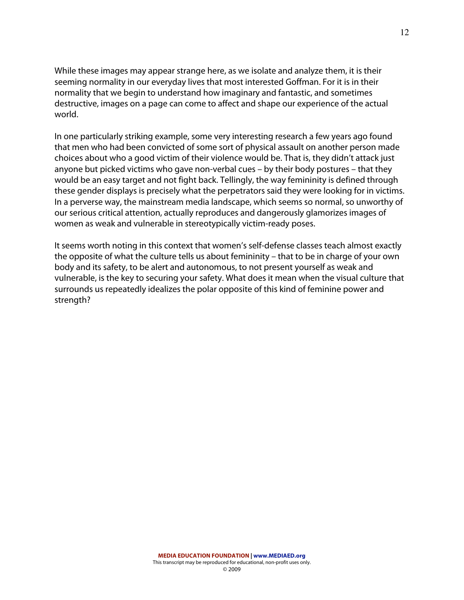While these images may appear strange here, as we isolate and analyze them, it is their seeming normality in our everyday lives that most interested Goffman. For it is in their normality that we begin to understand how imaginary and fantastic, and sometimes destructive, images on a page can come to affect and shape our experience of the actual world.

In one particularly striking example, some very interesting research a few years ago found that men who had been convicted of some sort of physical assault on another person made choices about who a good victim of their violence would be. That is, they didn't attack just anyone but picked victims who gave non-verbal cues – by their body postures – that they would be an easy target and not fight back. Tellingly, the way femininity is defined through these gender displays is precisely what the perpetrators said they were looking for in victims. In a perverse way, the mainstream media landscape, which seems so normal, so unworthy of our serious critical attention, actually reproduces and dangerously glamorizes images of women as weak and vulnerable in stereotypically victim-ready poses.

It seems worth noting in this context that women's self-defense classes teach almost exactly the opposite of what the culture tells us about femininity – that to be in charge of your own body and its safety, to be alert and autonomous, to not present yourself as weak and vulnerable, is the key to securing your safety. What does it mean when the visual culture that surrounds us repeatedly idealizes the polar opposite of this kind of feminine power and strength?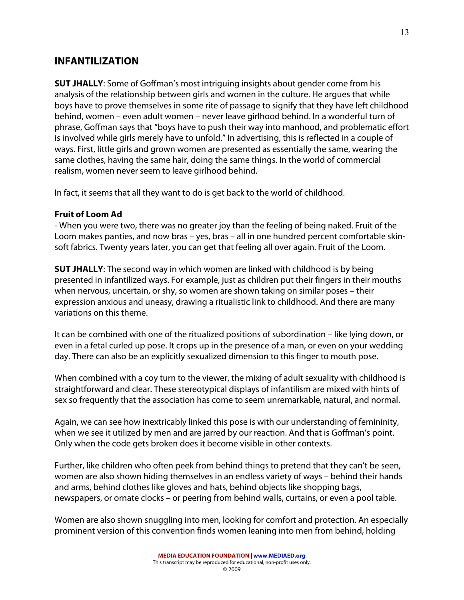## **INFANTILIZATION**

**SUT JHALLY**: Some of Goffman's most intriguing insights about gender come from his analysis of the relationship between girls and women in the culture. He argues that while boys have to prove themselves in some rite of passage to signify that they have left childhood behind, women – even adult women – never leave girlhood behind. In a wonderful turn of phrase, Goffman says that "boys have to push their way into manhood, and problematic effort is involved while girls merely have to unfold." In advertising, this is reflected in a couple of ways. First, little girls and grown women are presented as essentially the same, wearing the same clothes, having the same hair, doing the same things. In the world of commercial realism, women never seem to leave girlhood behind.

In fact, it seems that all they want to do is get back to the world of childhood.

### **Fruit of Loom Ad**

- When you were two, there was no greater joy than the feeling of being naked. Fruit of the Loom makes panties, and now bras – yes, bras – all in one hundred percent comfortable skinsoft fabrics. Twenty years later, you can get that feeling all over again. Fruit of the Loom.

**SUT JHALLY**: The second way in which women are linked with childhood is by being presented in infantilized ways. For example, just as children put their fingers in their mouths when nervous, uncertain, or shy, so women are shown taking on similar poses – their expression anxious and uneasy, drawing a ritualistic link to childhood. And there are many variations on this theme.

It can be combined with one of the ritualized positions of subordination – like lying down, or even in a fetal curled up pose. It crops up in the presence of a man, or even on your wedding day. There can also be an explicitly sexualized dimension to this finger to mouth pose.

When combined with a coy turn to the viewer, the mixing of adult sexuality with childhood is straightforward and clear. These stereotypical displays of infantilism are mixed with hints of sex so frequently that the association has come to seem unremarkable, natural, and normal.

Again, we can see how inextricably linked this pose is with our understanding of femininity, when we see it utilized by men and are jarred by our reaction. And that is Goffman's point. Only when the code gets broken does it become visible in other contexts.

Further, like children who often peek from behind things to pretend that they can't be seen, women are also shown hiding themselves in an endless variety of ways – behind their hands and arms, behind clothes like gloves and hats, behind objects like shopping bags, newspapers, or ornate clocks – or peering from behind walls, curtains, or even a pool table.

Women are also shown snuggling into men, looking for comfort and protection. An especially prominent version of this convention finds women leaning into men from behind, holding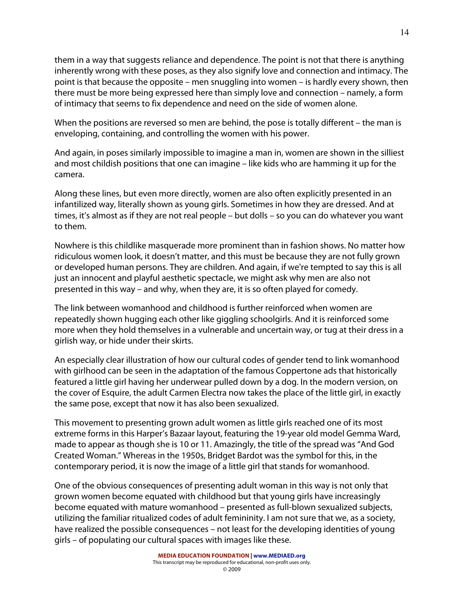them in a way that suggests reliance and dependence. The point is not that there is anything inherently wrong with these poses, as they also signify love and connection and intimacy. The point is that because the opposite – men snuggling into women – is hardly every shown, then there must be more being expressed here than simply love and connection – namely, a form of intimacy that seems to fix dependence and need on the side of women alone.

When the positions are reversed so men are behind, the pose is totally different – the man is enveloping, containing, and controlling the women with his power.

And again, in poses similarly impossible to imagine a man in, women are shown in the silliest and most childish positions that one can imagine – like kids who are hamming it up for the camera.

Along these lines, but even more directly, women are also often explicitly presented in an infantilized way, literally shown as young girls. Sometimes in how they are dressed. And at times, it's almost as if they are not real people – but dolls – so you can do whatever you want to them.

Nowhere is this childlike masquerade more prominent than in fashion shows. No matter how ridiculous women look, it doesn't matter, and this must be because they are not fully grown or developed human persons. They are children. And again, if we're tempted to say this is all just an innocent and playful aesthetic spectacle, we might ask why men are also not presented in this way – and why, when they are, it is so often played for comedy.

The link between womanhood and childhood is further reinforced when women are repeatedly shown hugging each other like giggling schoolgirls. And it is reinforced some more when they hold themselves in a vulnerable and uncertain way, or tug at their dress in a girlish way, or hide under their skirts.

An especially clear illustration of how our cultural codes of gender tend to link womanhood with girlhood can be seen in the adaptation of the famous Coppertone ads that historically featured a little girl having her underwear pulled down by a dog. In the modern version, on the cover of Esquire, the adult Carmen Electra now takes the place of the little girl, in exactly the same pose, except that now it has also been sexualized.

This movement to presenting grown adult women as little girls reached one of its most extreme forms in this Harper's Bazaar layout, featuring the 19-year old model Gemma Ward, made to appear as though she is 10 or 11. Amazingly, the title of the spread was "And God Created Woman." Whereas in the 1950s, Bridget Bardot was the symbol for this, in the contemporary period, it is now the image of a little girl that stands for womanhood.

One of the obvious consequences of presenting adult woman in this way is not only that grown women become equated with childhood but that young girls have increasingly become equated with mature womanhood – presented as full-blown sexualized subjects, utilizing the familiar ritualized codes of adult femininity. I am not sure that we, as a society, have realized the possible consequences – not least for the developing identities of young girls – of populating our cultural spaces with images like these.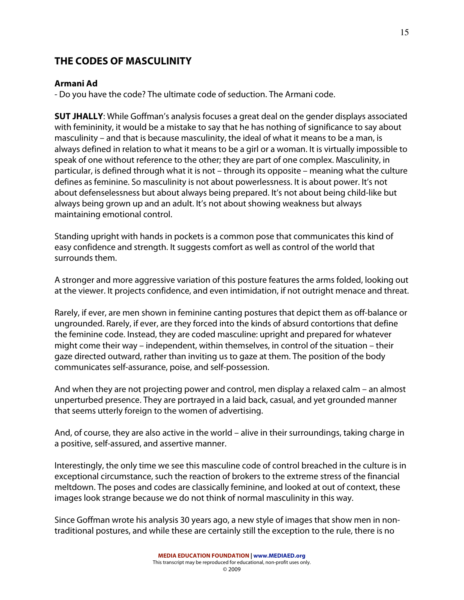# **THE CODES OF MASCULINITY**

## **Armani Ad**

- Do you have the code? The ultimate code of seduction. The Armani code.

**SUT JHALLY**: While Goffman's analysis focuses a great deal on the gender displays associated with femininity, it would be a mistake to say that he has nothing of significance to say about masculinity – and that is because masculinity, the ideal of what it means to be a man, is always defined in relation to what it means to be a girl or a woman. It is virtually impossible to speak of one without reference to the other; they are part of one complex. Masculinity, in particular, is defined through what it is not – through its opposite – meaning what the culture defines as feminine. So masculinity is not about powerlessness. It is about power. It's not about defenselessness but about always being prepared. It's not about being child-like but always being grown up and an adult. It's not about showing weakness but always maintaining emotional control.

Standing upright with hands in pockets is a common pose that communicates this kind of easy confidence and strength. It suggests comfort as well as control of the world that surrounds them.

A stronger and more aggressive variation of this posture features the arms folded, looking out at the viewer. It projects confidence, and even intimidation, if not outright menace and threat.

Rarely, if ever, are men shown in feminine canting postures that depict them as off-balance or ungrounded. Rarely, if ever, are they forced into the kinds of absurd contortions that define the feminine code. Instead, they are coded masculine: upright and prepared for whatever might come their way – independent, within themselves, in control of the situation – their gaze directed outward, rather than inviting us to gaze at them. The position of the body communicates self-assurance, poise, and self-possession.

And when they are not projecting power and control, men display a relaxed calm – an almost unperturbed presence. They are portrayed in a laid back, casual, and yet grounded manner that seems utterly foreign to the women of advertising.

And, of course, they are also active in the world – alive in their surroundings, taking charge in a positive, self-assured, and assertive manner.

Interestingly, the only time we see this masculine code of control breached in the culture is in exceptional circumstance, such the reaction of brokers to the extreme stress of the financial meltdown. The poses and codes are classically feminine, and looked at out of context, these images look strange because we do not think of normal masculinity in this way.

Since Goffman wrote his analysis 30 years ago, a new style of images that show men in nontraditional postures, and while these are certainly still the exception to the rule, there is no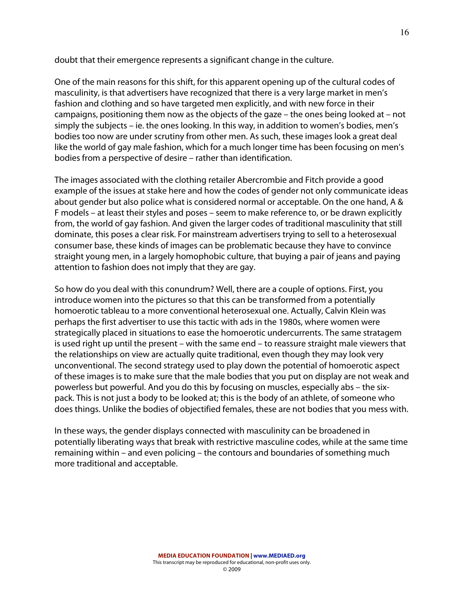doubt that their emergence represents a significant change in the culture.

One of the main reasons for this shift, for this apparent opening up of the cultural codes of masculinity, is that advertisers have recognized that there is a very large market in men's fashion and clothing and so have targeted men explicitly, and with new force in their campaigns, positioning them now as the objects of the gaze – the ones being looked at – not simply the subjects – ie. the ones looking. In this way, in addition to women's bodies, men's bodies too now are under scrutiny from other men. As such, these images look a great deal like the world of gay male fashion, which for a much longer time has been focusing on men's bodies from a perspective of desire – rather than identification.

The images associated with the clothing retailer Abercrombie and Fitch provide a good example of the issues at stake here and how the codes of gender not only communicate ideas about gender but also police what is considered normal or acceptable. On the one hand, A & F models – at least their styles and poses – seem to make reference to, or be drawn explicitly from, the world of gay fashion. And given the larger codes of traditional masculinity that still dominate, this poses a clear risk. For mainstream advertisers trying to sell to a heterosexual consumer base, these kinds of images can be problematic because they have to convince straight young men, in a largely homophobic culture, that buying a pair of jeans and paying attention to fashion does not imply that they are gay.

So how do you deal with this conundrum? Well, there are a couple of options. First, you introduce women into the pictures so that this can be transformed from a potentially homoerotic tableau to a more conventional heterosexual one. Actually, Calvin Klein was perhaps the first advertiser to use this tactic with ads in the 1980s, where women were strategically placed in situations to ease the homoerotic undercurrents. The same stratagem is used right up until the present – with the same end – to reassure straight male viewers that the relationships on view are actually quite traditional, even though they may look very unconventional. The second strategy used to play down the potential of homoerotic aspect of these images is to make sure that the male bodies that you put on display are not weak and powerless but powerful. And you do this by focusing on muscles, especially abs – the sixpack. This is not just a body to be looked at; this is the body of an athlete, of someone who does things. Unlike the bodies of objectified females, these are not bodies that you mess with.

In these ways, the gender displays connected with masculinity can be broadened in potentially liberating ways that break with restrictive masculine codes, while at the same time remaining within – and even policing – the contours and boundaries of something much more traditional and acceptable.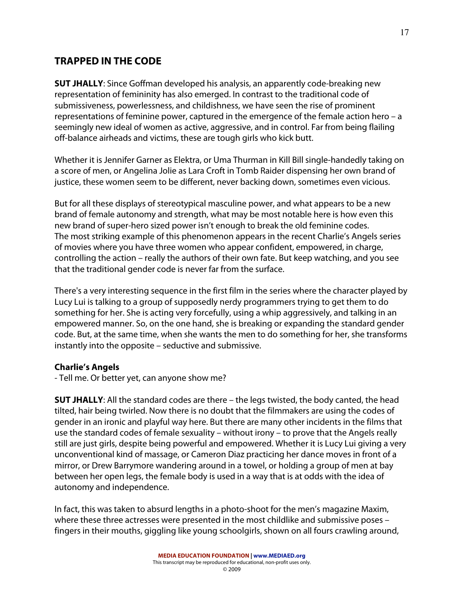# **TRAPPED IN THE CODE**

**SUT JHALLY**: Since Goffman developed his analysis, an apparently code-breaking new representation of femininity has also emerged. In contrast to the traditional code of submissiveness, powerlessness, and childishness, we have seen the rise of prominent representations of feminine power, captured in the emergence of the female action hero – a seemingly new ideal of women as active, aggressive, and in control. Far from being flailing off-balance airheads and victims, these are tough girls who kick butt.

Whether it is Jennifer Garner as Elektra, or Uma Thurman in Kill Bill single-handedly taking on a score of men, or Angelina Jolie as Lara Croft in Tomb Raider dispensing her own brand of justice, these women seem to be different, never backing down, sometimes even vicious.

But for all these displays of stereotypical masculine power, and what appears to be a new brand of female autonomy and strength, what may be most notable here is how even this new brand of super-hero sized power isn't enough to break the old feminine codes. The most striking example of this phenomenon appears in the recent Charlie's Angels series of movies where you have three women who appear confident, empowered, in charge, controlling the action – really the authors of their own fate. But keep watching, and you see that the traditional gender code is never far from the surface.

There's a very interesting sequence in the first film in the series where the character played by Lucy Lui is talking to a group of supposedly nerdy programmers trying to get them to do something for her. She is acting very forcefully, using a whip aggressively, and talking in an empowered manner. So, on the one hand, she is breaking or expanding the standard gender code. But, at the same time, when she wants the men to do something for her, she transforms instantly into the opposite – seductive and submissive.

#### **Charlie's Angels**

- Tell me. Or better yet, can anyone show me?

**SUT JHALLY**: All the standard codes are there – the legs twisted, the body canted, the head tilted, hair being twirled. Now there is no doubt that the filmmakers are using the codes of gender in an ironic and playful way here. But there are many other incidents in the films that use the standard codes of female sexuality – without irony – to prove that the Angels really still are just girls, despite being powerful and empowered. Whether it is Lucy Lui giving a very unconventional kind of massage, or Cameron Diaz practicing her dance moves in front of a mirror, or Drew Barrymore wandering around in a towel, or holding a group of men at bay between her open legs, the female body is used in a way that is at odds with the idea of autonomy and independence.

In fact, this was taken to absurd lengths in a photo-shoot for the men's magazine Maxim, where these three actresses were presented in the most childlike and submissive poses – fingers in their mouths, giggling like young schoolgirls, shown on all fours crawling around,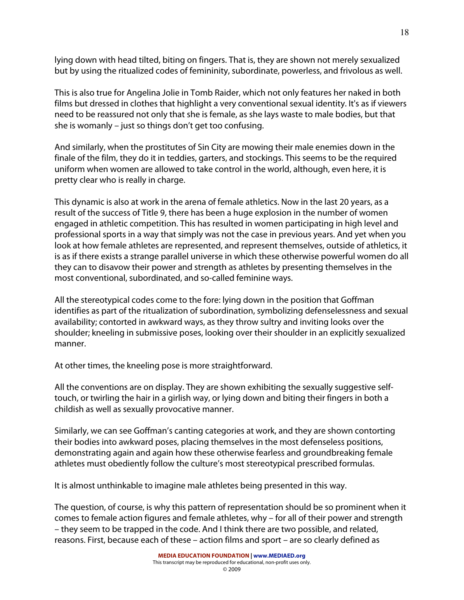lying down with head tilted, biting on fingers. That is, they are shown not merely sexualized but by using the ritualized codes of femininity, subordinate, powerless, and frivolous as well.

This is also true for Angelina Jolie in Tomb Raider, which not only features her naked in both films but dressed in clothes that highlight a very conventional sexual identity. It's as if viewers need to be reassured not only that she is female, as she lays waste to male bodies, but that she is womanly – just so things don't get too confusing.

And similarly, when the prostitutes of Sin City are mowing their male enemies down in the finale of the film, they do it in teddies, garters, and stockings. This seems to be the required uniform when women are allowed to take control in the world, although, even here, it is pretty clear who is really in charge.

This dynamic is also at work in the arena of female athletics. Now in the last 20 years, as a result of the success of Title 9, there has been a huge explosion in the number of women engaged in athletic competition. This has resulted in women participating in high level and professional sports in a way that simply was not the case in previous years. And yet when you look at how female athletes are represented, and represent themselves, outside of athletics, it is as if there exists a strange parallel universe in which these otherwise powerful women do all they can to disavow their power and strength as athletes by presenting themselves in the most conventional, subordinated, and so-called feminine ways.

All the stereotypical codes come to the fore: lying down in the position that Goffman identifies as part of the ritualization of subordination, symbolizing defenselessness and sexual availability; contorted in awkward ways, as they throw sultry and inviting looks over the shoulder; kneeling in submissive poses, looking over their shoulder in an explicitly sexualized manner.

At other times, the kneeling pose is more straightforward.

All the conventions are on display. They are shown exhibiting the sexually suggestive selftouch, or twirling the hair in a girlish way, or lying down and biting their fingers in both a childish as well as sexually provocative manner.

Similarly, we can see Goffman's canting categories at work, and they are shown contorting their bodies into awkward poses, placing themselves in the most defenseless positions, demonstrating again and again how these otherwise fearless and groundbreaking female athletes must obediently follow the culture's most stereotypical prescribed formulas.

It is almost unthinkable to imagine male athletes being presented in this way.

The question, of course, is why this pattern of representation should be so prominent when it comes to female action figures and female athletes, why – for all of their power and strength – they seem to be trapped in the code. And I think there are two possible, and related, reasons. First, because each of these – action films and sport – are so clearly defined as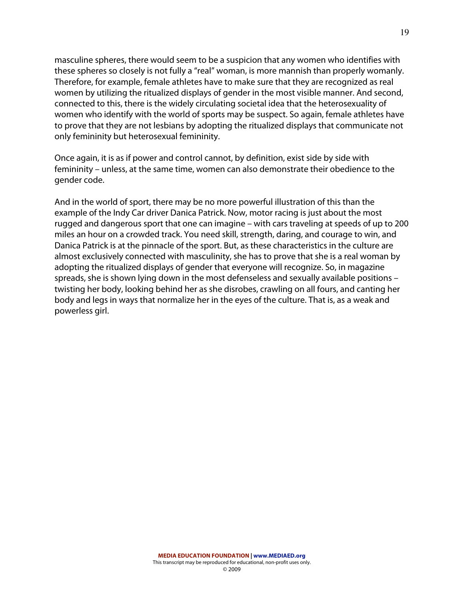masculine spheres, there would seem to be a suspicion that any women who identifies with these spheres so closely is not fully a "real" woman, is more mannish than properly womanly. Therefore, for example, female athletes have to make sure that they are recognized as real women by utilizing the ritualized displays of gender in the most visible manner. And second, connected to this, there is the widely circulating societal idea that the heterosexuality of women who identify with the world of sports may be suspect. So again, female athletes have to prove that they are not lesbians by adopting the ritualized displays that communicate not only femininity but heterosexual femininity.

Once again, it is as if power and control cannot, by definition, exist side by side with femininity – unless, at the same time, women can also demonstrate their obedience to the gender code.

And in the world of sport, there may be no more powerful illustration of this than the example of the Indy Car driver Danica Patrick. Now, motor racing is just about the most rugged and dangerous sport that one can imagine – with cars traveling at speeds of up to 200 miles an hour on a crowded track. You need skill, strength, daring, and courage to win, and Danica Patrick is at the pinnacle of the sport. But, as these characteristics in the culture are almost exclusively connected with masculinity, she has to prove that she is a real woman by adopting the ritualized displays of gender that everyone will recognize. So, in magazine spreads, she is shown lying down in the most defenseless and sexually available positions – twisting her body, looking behind her as she disrobes, crawling on all fours, and canting her body and legs in ways that normalize her in the eyes of the culture. That is, as a weak and powerless girl.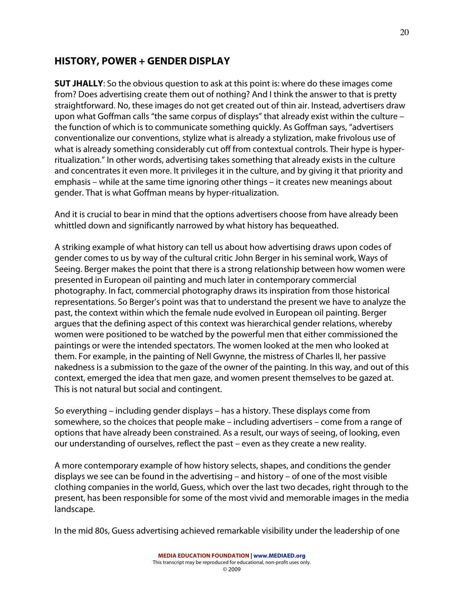# **HISTORY, POWER + GENDER DISPLAY**

**SUT JHALLY**: So the obvious question to ask at this point is: where do these images come from? Does advertising create them out of nothing? And I think the answer to that is pretty straightforward. No, these images do not get created out of thin air. Instead, advertisers draw upon what Goffman calls "the same corpus of displays" that already exist within the culture – the function of which is to communicate something quickly. As Goffman says, "advertisers conventionalize our conventions, stylize what is already a stylization, make frivolous use of what is already something considerably cut off from contextual controls. Their hype is hyperritualization." In other words, advertising takes something that already exists in the culture and concentrates it even more. It privileges it in the culture, and by giving it that priority and emphasis – while at the same time ignoring other things – it creates new meanings about gender. That is what Goffman means by hyper-ritualization.

And it is crucial to bear in mind that the options advertisers choose from have already been whittled down and significantly narrowed by what history has bequeathed.

A striking example of what history can tell us about how advertising draws upon codes of gender comes to us by way of the cultural critic John Berger in his seminal work, Ways of Seeing. Berger makes the point that there is a strong relationship between how women were presented in European oil painting and much later in contemporary commercial photography. In fact, commercial photography draws its inspiration from those historical representations. So Berger's point was that to understand the present we have to analyze the past, the context within which the female nude evolved in European oil painting. Berger argues that the defining aspect of this context was hierarchical gender relations, whereby women were positioned to be watched by the powerful men that either commissioned the paintings or were the intended spectators. The women looked at the men who looked at them. For example, in the painting of Nell Gwynne, the mistress of Charles II, her passive nakedness is a submission to the gaze of the owner of the painting. In this way, and out of this context, emerged the idea that men gaze, and women present themselves to be gazed at. This is not natural but social and contingent.

So everything – including gender displays – has a history. These displays come from somewhere, so the choices that people make – including advertisers – come from a range of options that have already been constrained. As a result, our ways of seeing, of looking, even our understanding of ourselves, reflect the past – even as they create a new reality.

A more contemporary example of how history selects, shapes, and conditions the gender displays we see can be found in the advertising – and history – of one of the most visible clothing companies in the world, Guess, which over the last two decades, right through to the present, has been responsible for some of the most vivid and memorable images in the media landscape.

In the mid 80s, Guess advertising achieved remarkable visibility under the leadership of one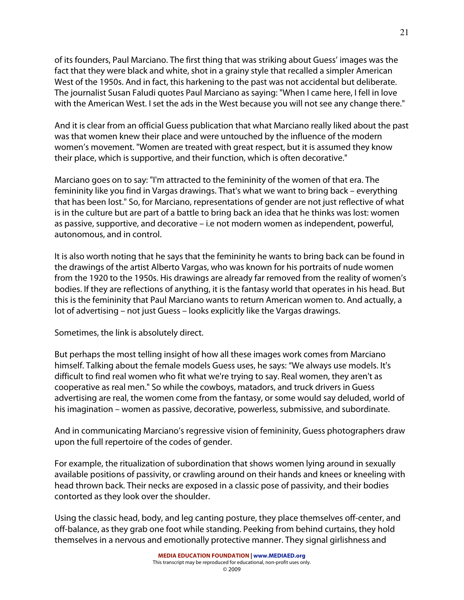of its founders, Paul Marciano. The first thing that was striking about Guess' images was the fact that they were black and white, shot in a grainy style that recalled a simpler American West of the 1950s. And in fact, this harkening to the past was not accidental but deliberate. The journalist Susan Faludi quotes Paul Marciano as saying: "When I came here, I fell in love with the American West. I set the ads in the West because you will not see any change there."

And it is clear from an official Guess publication that what Marciano really liked about the past was that women knew their place and were untouched by the influence of the modern women's movement. "Women are treated with great respect, but it is assumed they know their place, which is supportive, and their function, which is often decorative."

Marciano goes on to say: "I'm attracted to the femininity of the women of that era. The femininity like you find in Vargas drawings. That's what we want to bring back – everything that has been lost." So, for Marciano, representations of gender are not just reflective of what is in the culture but are part of a battle to bring back an idea that he thinks was lost: women as passive, supportive, and decorative – i.e not modern women as independent, powerful, autonomous, and in control.

It is also worth noting that he says that the femininity he wants to bring back can be found in the drawings of the artist Alberto Vargas, who was known for his portraits of nude women from the 1920 to the 1950s. His drawings are already far removed from the reality of women's bodies. If they are reflections of anything, it is the fantasy world that operates in his head. But this is the femininity that Paul Marciano wants to return American women to. And actually, a lot of advertising – not just Guess – looks explicitly like the Vargas drawings.

Sometimes, the link is absolutely direct.

But perhaps the most telling insight of how all these images work comes from Marciano himself. Talking about the female models Guess uses, he says: "We always use models. It's difficult to find real women who fit what we're trying to say. Real women, they aren't as cooperative as real men." So while the cowboys, matadors, and truck drivers in Guess advertising are real, the women come from the fantasy, or some would say deluded, world of his imagination – women as passive, decorative, powerless, submissive, and subordinate.

And in communicating Marciano's regressive vision of femininity, Guess photographers draw upon the full repertoire of the codes of gender.

For example, the ritualization of subordination that shows women lying around in sexually available positions of passivity, or crawling around on their hands and knees or kneeling with head thrown back. Their necks are exposed in a classic pose of passivity, and their bodies contorted as they look over the shoulder.

Using the classic head, body, and leg canting posture, they place themselves off-center, and off-balance, as they grab one foot while standing. Peeking from behind curtains, they hold themselves in a nervous and emotionally protective manner. They signal girlishness and